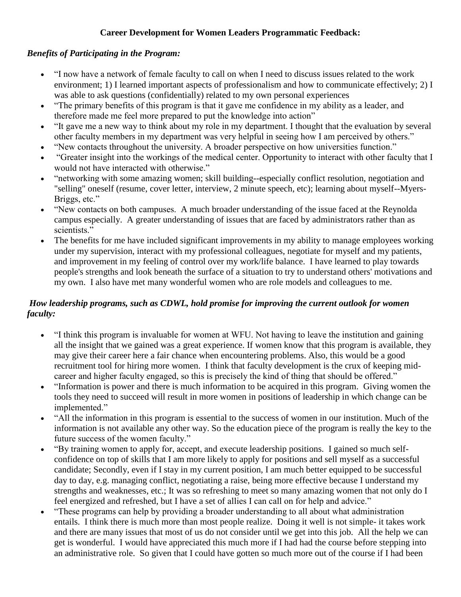## **Career Development for Women Leaders Programmatic Feedback:**

## *Benefits of Participating in the Program:*

- "I now have a network of female faculty to call on when I need to discuss issues related to the work environment; 1) I learned important aspects of professionalism and how to communicate effectively; 2) I was able to ask questions (confidentially) related to my own personal experiences
- "The primary benefits of this program is that it gave me confidence in my ability as a leader, and therefore made me feel more prepared to put the knowledge into action"
- "It gave me a new way to think about my role in my department. I thought that the evaluation by several other faculty members in my department was very helpful in seeing how I am perceived by others."
- "New contacts throughout the university. A broader perspective on how universities function."
- "Greater insight into the workings of the medical center. Opportunity to interact with other faculty that I would not have interacted with otherwise."
- "networking with some amazing women; skill building--especially conflict resolution, negotiation and "selling" oneself (resume, cover letter, interview, 2 minute speech, etc); learning about myself--Myers-Briggs, etc."
- "New contacts on both campuses. A much broader understanding of the issue faced at the Reynolda campus especially. A greater understanding of issues that are faced by administrators rather than as scientists."
- The benefits for me have included significant improvements in my ability to manage employees working under my supervision, interact with my professional colleagues, negotiate for myself and my patients, and improvement in my feeling of control over my work/life balance. I have learned to play towards people's strengths and look beneath the surface of a situation to try to understand others' motivations and my own. I also have met many wonderful women who are role models and colleagues to me.

## *How leadership programs, such as CDWL, hold promise for improving the current outlook for women faculty:*

- "I think this program is invaluable for women at WFU. Not having to leave the institution and gaining all the insight that we gained was a great experience. If women know that this program is available, they may give their career here a fair chance when encountering problems. Also, this would be a good recruitment tool for hiring more women. I think that faculty development is the crux of keeping midcareer and higher faculty engaged, so this is precisely the kind of thing that should be offered."
- "Information is power and there is much information to be acquired in this program. Giving women the tools they need to succeed will result in more women in positions of leadership in which change can be implemented."
- "All the information in this program is essential to the success of women in our institution. Much of the information is not available any other way. So the education piece of the program is really the key to the future success of the women faculty."
- "By training women to apply for, accept, and execute leadership positions. I gained so much selfconfidence on top of skills that I am more likely to apply for positions and sell myself as a successful candidate; Secondly, even if I stay in my current position, I am much better equipped to be successful day to day, e.g. managing conflict, negotiating a raise, being more effective because I understand my strengths and weaknesses, etc.; It was so refreshing to meet so many amazing women that not only do I feel energized and refreshed, but I have a set of allies I can call on for help and advice."
- "These programs can help by providing a broader understanding to all about what administration entails. I think there is much more than most people realize. Doing it well is not simple- it takes work and there are many issues that most of us do not consider until we get into this job. All the help we can get is wonderful. I would have appreciated this much more if I had had the course before stepping into an administrative role. So given that I could have gotten so much more out of the course if I had been